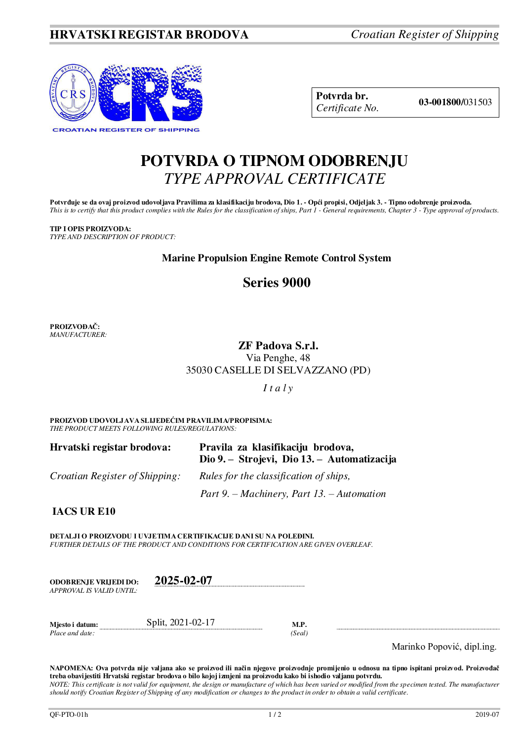

**Potvrda br. 03-001800/**031503 *Certificate No.* 

# **POTVRDA O TIPNOM ODOBRENJU**  *TYPE APPROVAL CERTIFICATE*

Potvrđuje se da ovaj proizvod udovoljava Pravilima za klasifikaciju brodova, Dio 1. - Opći propisi, Odjeljak 3. - Tipno odobrenje proizvoda. *This is to certify that this product complies with the Rules for the classification of ships, Part 1 - General requirements, Chapter 3 - Type approval of products.* 

## **TIP I OPIS PROIZVODA:**

*TYPE AND DESCRIPTION OF PRODUCT:*

## **Marine Propulsion Engine Remote Control System**

## **Series 9000**

**PROIZVOĐAČ:** *MANUFACTURER:*

### **ZF Padova S.r.l.**  Via Penghe, 48 35030 CASELLE DI SELVAZZANO (PD)

*I t a l y*

**PROIZVOD UDOVOLJAVA SLIJEDEĆIM PRAVILIMA/PROPISIMA:** *THE PRODUCT MEETS FOLLOWING RULES/REGULATIONS:* 

| Hrvatski registar brodova:            | Pravila za klasifikaciju brodova,<br>Dio 9. – Strojevi, Dio 13. – Automatizacija |
|---------------------------------------|----------------------------------------------------------------------------------|
| <i>Croatian Register of Shipping:</i> | Rules for the classification of ships,                                           |
|                                       | Part 9. – Machinery, Part 13. – Automation                                       |

**IACS UR E10**

**DETALJI O PROIZVODU I UVJETIMA CERTIFIKACIJE DANI SU NA POLEĐINI.** *FURTHER DETAILS OF THE PRODUCT AND CONDITIONS FOR CERTIFICATION ARE GIVEN OVERLEAF.* 

| ODOBREN.IE VRLIEDI DO:   | 2025-02-07 |
|--------------------------|------------|
| APPROVAL IS VALID UNTIL: |            |

| Miesto i datum: | Split, 2021-02-17 | M.F   |
|-----------------|-------------------|-------|
| Place and date: |                   | (Seal |

Marinko Popović, dipl.ing.

**NAPOMENA: Ova potvrda nije valjana ako se proizvod ili način njegove proizvodnje promijenio u odnosu na tipno ispitani proizvod. Proizvođač treba obavijestiti Hrvatski registar brodova o bilo kojoj izmjeni na proizvodu kako bi ishodio valjanu potvrdu.**  *NOTE: This certificate is not valid for equipment, the design or manufacture of which has been varied or modified from the specimen tested. The manufacturer should notify Croatian Register of Shipping of any modification or changes to the product in order to obtain a valid certificate.*